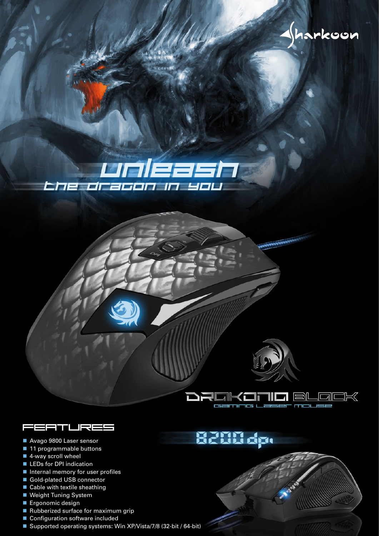







- Avago 9800 Laser sensor
- 11 programmable buttons
- 4-way scroll wheel
- **LEDs for DPI indication**
- Internal memory for user profiles
- Gold-plated USB connector
- Cable with textile sheathing
- Weight Tuning System
- **Ergonomic design**
- Rubberized surface for maximum grip
- Configuration software included
- Supported operating systems: Win XP/Vista/7/8 (32-bit / 64-bit)

8200 dp.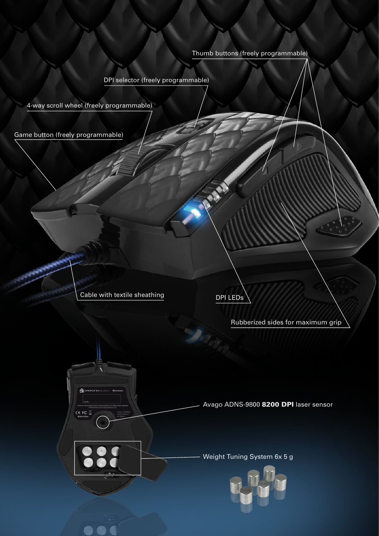## Thumb buttons (freely programmable)

DPI selector (freely programmable)

4-way scroll wheel (freely programmable)

Game button (freely programmable)

Cable with textile sheathing

CE FC

DPI LEDs

Rubberized sides for maximum grip

Avago ADNS-9800 8200 DPI laser sensor

Weight Tuning System 6x 5 g